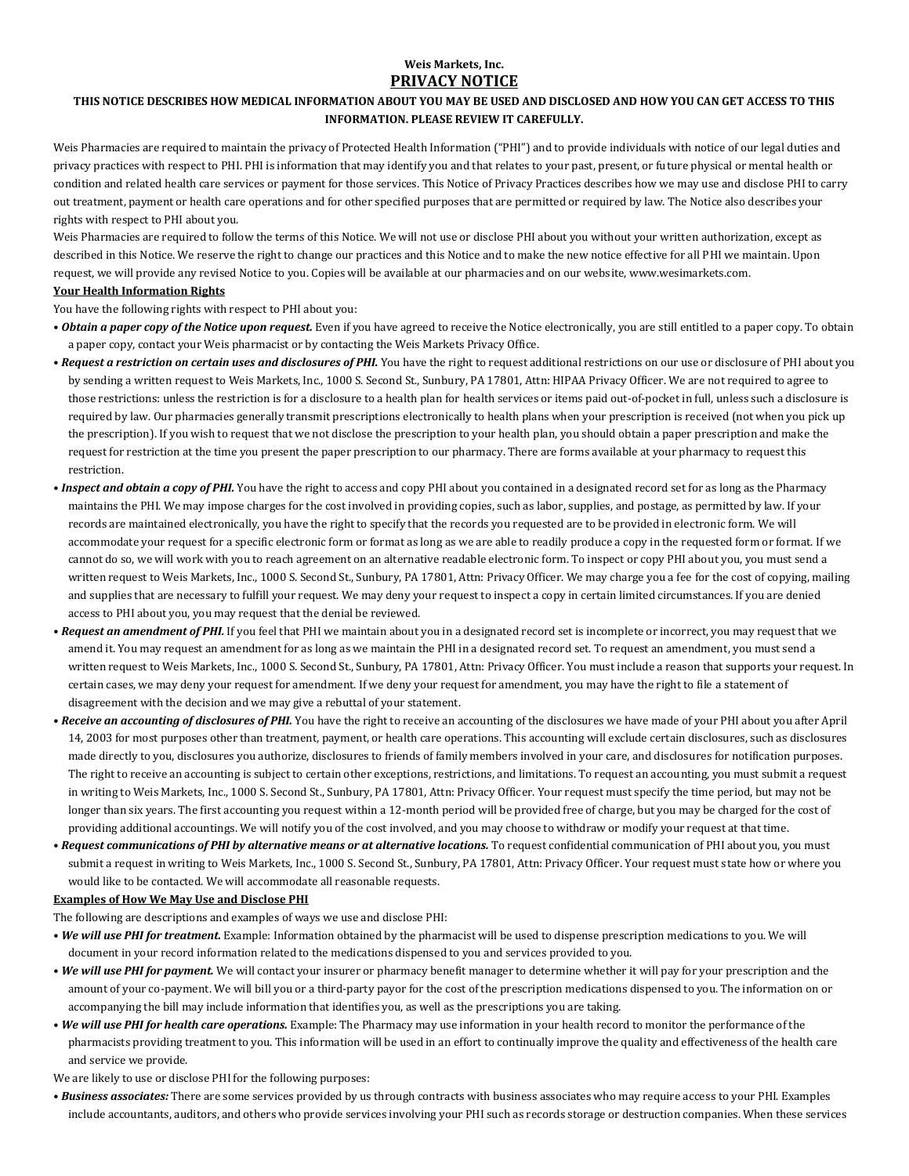## **Weis Markets, Inc. PRIVACY NOTICE**

# **THIS NOTICE DESCRIBES HOW MEDICAL INFORMATION ABOUT YOU MAY BE USED AND DISCLOSED AND HOW YOU CAN GET ACCESS TO THIS INFORMATION. PLEASE REVIEW IT CAREFULLY.**

Weis Pharmacies are required to maintain the privacy of Protected Health Information ("PHI") and to provide individuals with notice of our legal duties and privacy practices with respect to PHI. PHI is information that may identify you and that relates to your past, present, or future physical or mental health or condition and related health care services or payment for those services. This Notice of Privacy Practices describes how we may use and disclose PHI to carry out treatment, payment or health care operations and for other specified purposes that are permitted or required by law. The Notice also describes your rights with respect to PHI about you.

Weis Pharmacies are required to follow the terms of this Notice. We will not use or disclose PHI about you without your written authorization, except as described in this Notice. We reserve the right to change our practices and this Notice and to make the new notice effective for all PHI we maintain. Upon request, we will provide any revised Notice to you. Copies will be available at our pharmacies and on our website, [www.wesimarkets.com](http://www.wesimarkets.com).

# **Your Health Information Rights**

You have the following rights with respect to PHI about you:

- *Obtain a paper copy of the Notice upon request.* Even if you have agreed to receive the Notice electronically, you are still entitled to a paper copy. To obtain a paper copy, contact your Weis pharmacist or by contacting the Weis Markets Privacy Office.
- *Request a restriction on certain uses and disclosures of PHI.* You have the right to request additional restrictions on our use or disclosure of PHI about you by sending a written request to Weis Markets, Inc., 1000 S. Second St., Sunbury, PA 17801, Attn: HIPAA Privacy Officer. We are not required to agree to those restrictions: unless the restriction is for a disclosure to a health plan for health services or items paid out-of-pocket in full, unless such a disclosure is required by law. Our pharmacies generally transmit prescriptions electronically to health plans when your prescription is received (not when you pick up the prescription). If you wish to request that we not disclose the prescription to your health plan, you should obtain a paper prescription and make the request for restriction at the time you present the paper prescription to our pharmacy. There are forms available at your pharmacy to request this restriction.
- *Inspect and obtain a copy of PHI.* You have the right to access and copy PHI about you contained in a designated record set for as long as the Pharmacy maintains the PHI. We may impose charges for the cost involved in providing copies, such as labor, supplies, and postage, as permitted by law. If your records are maintained electronically, you have the right to specify that the records you requested are to be provided in electronic form. We will accommodate your request for a specific electronic form or format as long as we are able to readily produce a copy in the requested form or format. If we cannot do so, we will work with you to reach agreement on an alternative readable electronic form. To inspect or copy PHI about you, you must send a written request to Weis Markets, Inc., 1000 S. Second St., Sunbury, PA 17801, Attn: Privacy Officer. We may charge you a fee for the cost of copying, mailing and supplies that are necessary to fulfill your request. We may deny your request to inspect a copy in certain limited circumstances. If you are denied access to PHI about you, you may request that the denial be reviewed.
- *Request an amendment of PHI.* If you feel that PHI we maintain about you in a designated record set is incomplete or incorrect, you may request that we amend it. You may request an amendment for as long as we maintain the PHI in a designated record set. To request an amendment, you must send a written request to Weis Markets, Inc., 1000 S. Second St., Sunbury, PA 17801, Attn: Privacy Officer. You must include a reason that supports your request. In certain cases, we may deny your request for amendment. If we deny your request for amendment, you may have the right to file a statement of disagreement with the decision and we may give a rebuttal of your statement.
- *Receive an accounting of disclosures of PHI.* You have the right to receive an accounting of the disclosures we have made of your PHI about you after April 14, 2003 for most purposes other than treatment, payment, or health care operations. This accounting will exclude certain disclosures, such as disclosures made directly to you, disclosures you authorize, disclosures to friends of family members involved in your care, and disclosures for notification purposes. The right to receive an accounting is subject to certain other exceptions, restrictions, and limitations. To request an accounting, you must submit a request in writing to Weis Markets, Inc., 1000 S. Second St., Sunbury, PA 17801, Attn: Privacy Officer. Your request must specify the time period, but may not be longer than six years. The first accounting you request within a 12-month period will be provided free of charge, but you may be charged for the cost of providing additional accountings. We will notify you of the cost involved, and you may choose to withdraw or modify your request at that time.
- *Request communications of PHI by alternative means or at alternative locations.* To request confidential communication of PHI about you, you must submit a request in writing to Weis Markets, Inc., 1000 S. Second St., Sunbury, PA 17801, Attn: Privacy Officer. Your request must state how or where you would like to be contacted. We will accommodate all reasonable requests.

### **Examples of How We May Use and Disclose PHI**

The following are descriptions and examples of ways we use and disclose PHI:

- *We will use PHI for treatment.* Example: Information obtained by the pharmacist will be used to dispense prescription medications to you. We will document in your record information related to the medications dispensed to you and services provided to you.
- *We will use PHI for payment.* We will contact your insurer or pharmacy benefit manager to determine whether it will pay for your prescription and the amount of your co-payment. We will bill you or a third-party payor for the cost of the prescription medications dispensed to you. The information on or accompanying the bill may include information that identifies you, as well as the prescriptions you are taking.
- *We will use PHI for health care operations.* Example: The Pharmacy may use information in your health record to monitor the performance of the pharmacists providing treatment to you. This information will be used in an effort to continually improve the quality and effectiveness of the health care and service we provide.
- We are likely to use or disclose PHI for the following purposes:
- *Business associates:* There are some services provided by us through contracts with business associates who may require access to your PHI. Examples include accountants, auditors, and others who provide services involving your PHI such as records storage or destruction companies. When these services